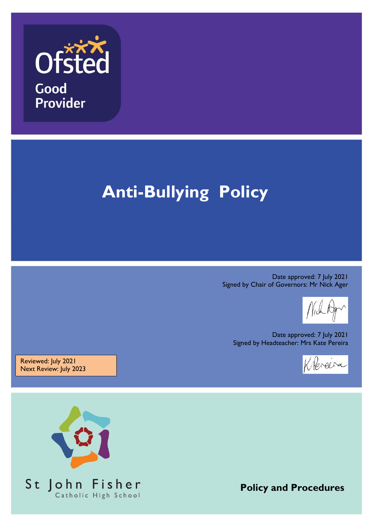

# **Anti-Bullying Policy**

Date approved: 7 July 2021 Signed by Chair of Governors: Mr Nick Ager

Date approved: 7 July 2021 Signed by Headteacher: Mrs Kate Pereira



Reviewed: July 2021 Next Review: July 2023



**Policy and Procedures**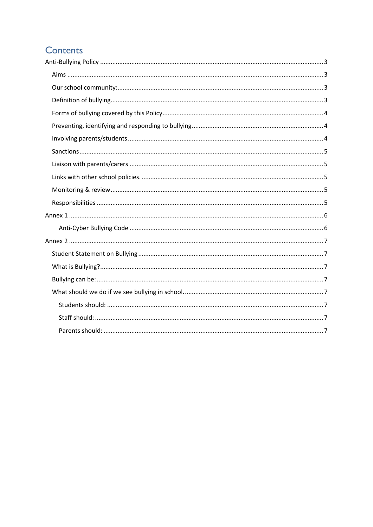# Contents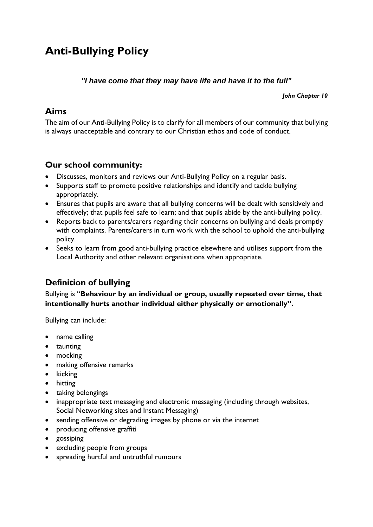# <span id="page-2-1"></span><span id="page-2-0"></span>**Anti-Bullying Policy**

#### *"I have come that they may have life and have it to the full"*

*John Chapter 10*

#### **Aims**

The aim of our Anti-Bullying Policy is to clarify for all members of our community that bullying is always unacceptable and contrary to our Christian ethos and code of conduct.

#### <span id="page-2-2"></span>**Our school community:**

- Discusses, monitors and reviews our Anti-Bullying Policy on a regular basis.
- Supports staff to promote positive relationships and identify and tackle bullying appropriately.
- Ensures that pupils are aware that all bullying concerns will be dealt with sensitively and effectively; that pupils feel safe to learn; and that pupils abide by the anti-bullying policy.
- Reports back to parents/carers regarding their concerns on bullying and deals promptly with complaints. Parents/carers in turn work with the school to uphold the anti-bullying policy.
- Seeks to learn from good anti-bullying practice elsewhere and utilises support from the Local Authority and other relevant organisations when appropriate.

## <span id="page-2-3"></span>**Definition of bullying**

Bullying is "**Behaviour by an individual or group, usually repeated over time, that intentionally hurts another individual either physically or emotionally".**

Bullying can include:

- name calling
- taunting
- mocking
- making offensive remarks
- $\bullet$  kicking
- hitting
- taking belongings
- inappropriate text messaging and electronic messaging (including through websites, Social Networking sites and Instant Messaging)
- sending offensive or degrading images by phone or via the internet
- producing offensive graffiti
- gossiping
- excluding people from groups
- spreading hurtful and untruthful rumours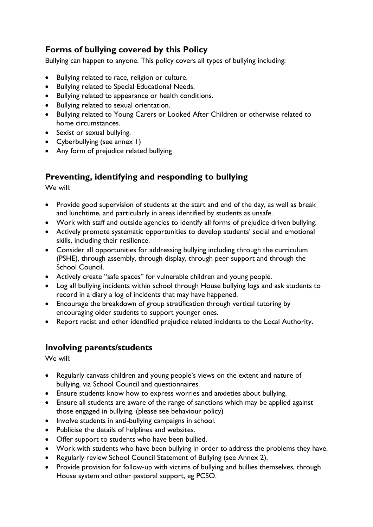## <span id="page-3-0"></span>**Forms of bullying covered by this Policy**

Bullying can happen to anyone. This policy covers all types of bullying including:

- Bullying related to race, religion or culture.
- Bullying related to Special Educational Needs.
- Bullying related to appearance or health conditions.
- Bullying related to sexual orientation.
- Bullying related to Young Carers or Looked After Children or otherwise related to home circumstances.
- Sexist or sexual bullying.
- Cyberbullying (see annex 1)
- Any form of prejudice related bullying

#### <span id="page-3-1"></span>**Preventing, identifying and responding to bullying**

We will:

- Provide good supervision of students at the start and end of the day, as well as break and lunchtime, and particularly in areas identified by students as unsafe.
- Work with staff and outside agencies to identify all forms of prejudice driven bullying.
- Actively promote systematic opportunities to develop students' social and emotional skills, including their resilience.
- Consider all opportunities for addressing bullying including through the curriculum (PSHE), through assembly, through display, through peer support and through the School Council.
- Actively create "safe spaces" for vulnerable children and young people.
- Log all bullying incidents within school through House bullying logs and ask students to record in a diary a log of incidents that may have happened.
- Encourage the breakdown of group stratification through vertical tutoring by encouraging older students to support younger ones.
- Report racist and other identified prejudice related incidents to the Local Authority.

#### <span id="page-3-2"></span>**Involving parents/students**

We will:

- Regularly canvass children and young people's views on the extent and nature of bullying, via School Council and questionnaires.
- Ensure students know how to express worries and anxieties about bullying.
- Ensure all students are aware of the range of sanctions which may be applied against those engaged in bullying. (please see behaviour policy)
- Involve students in anti-bullying campaigns in school.
- Publicise the details of helplines and websites.
- Offer support to students who have been bullied.
- Work with students who have been bullying in order to address the problems they have.
- Regularly review School Council Statement of Bullying (see Annex 2).
- Provide provision for follow-up with victims of bullying and bullies themselves, through House system and other pastoral support, eg PCSO.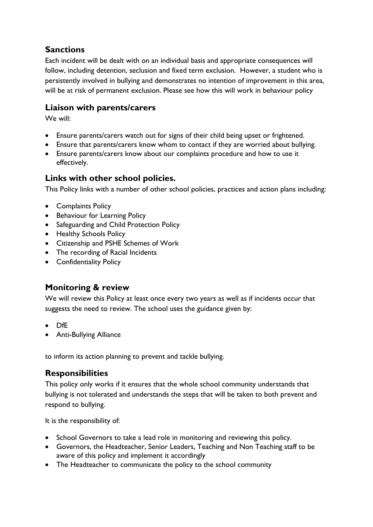## <span id="page-4-0"></span>**Sanctions**

Each incident will be dealt with on an individual basis and appropriate consequences will follow, including detention, seclusion and fixed term exclusion. However, a student who is persistently involved in bullying and demonstrates no intention of improvement in this area, will be at risk of permanent exclusion. Please see how this will work in behaviour policy

#### <span id="page-4-1"></span>**Liaison with parents/carers**

We will:

- Ensure parents/carers watch out for signs of their child being upset or frightened.
- Ensure that parents/carers know whom to contact if they are worried about bullying.
- Ensure parents/carers know about our complaints procedure and how to use it effectively.

#### <span id="page-4-2"></span>**Links with other school policies.**

This Policy links with a number of other school policies, practices and action plans including:

- Complaints Policy
- Behaviour for Learning Policy
- Safeguarding and Child Protection Policy
- Healthy Schools Policy
- Citizenship and PSHE Schemes of Work
- The recording of Racial Incidents
- Confidentiality Policy

#### <span id="page-4-3"></span>**Monitoring & review**

We will review this Policy at least once every two years as well as if incidents occur that suggests the need to review. The school uses the guidance given by:

- DfE
- Anti-Bullying Alliance

to inform its action planning to prevent and tackle bullying.

#### <span id="page-4-4"></span>**Responsibilities**

This policy only works if it ensures that the whole school community understands that bullying is not tolerated and understands the steps that will be taken to both prevent and respond to bullying.

It is the responsibility of:

- School Governors to take a lead role in monitoring and reviewing this policy.
- Governors, the Headteacher, Senior Leaders, Teaching and Non Teaching staff to be aware of this policy and implement it accordingly
- The Headteacher to communicate the policy to the school community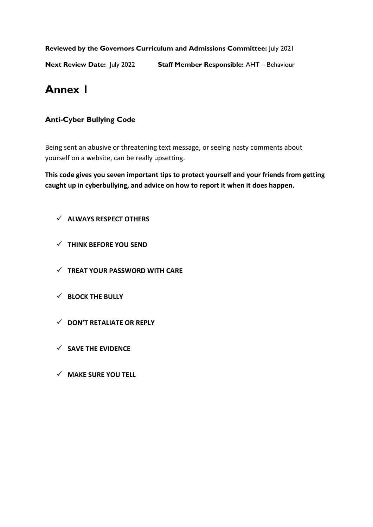**Reviewed by the Governors Curriculum and Admissions Committee:** July 2021

<span id="page-5-0"></span>**Next Review Date:** July 2022 **Staff Member Responsible:** AHT – Behaviour

# **Annex 1**

#### <span id="page-5-1"></span>**Anti-Cyber Bullying Code**

Being sent an abusive or threatening text message, or seeing nasty comments about yourself on a website, can be really upsetting.

**This code gives you seven important tips to protect yourself and your friends from getting caught up in cyberbullying, and advice on how to report it when it does happen.**

- **ALWAYS RESPECT OTHERS**
- **THINK BEFORE YOU SEND**
- **TREAT YOUR PASSWORD WITH CARE**
- **BLOCK THE BULLY**
- **DON'T RETALIATE OR REPLY**
- **SAVE THE EVIDENCE**
- **MAKE SURE YOU TELL**